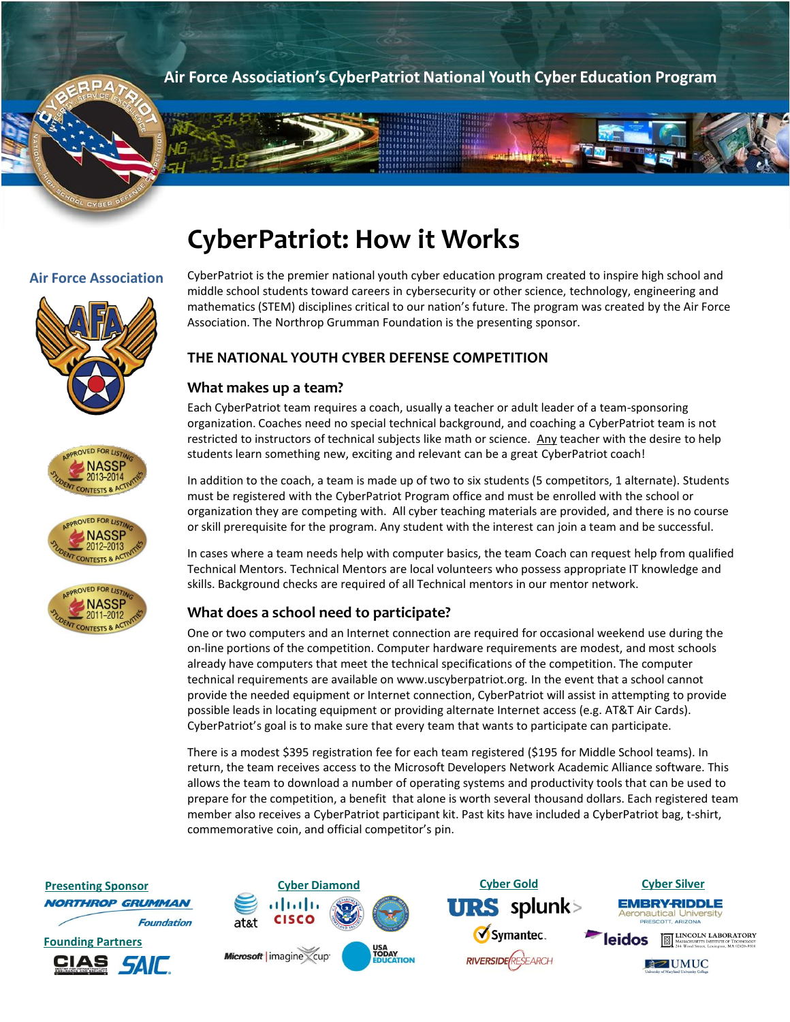**Air Force Association's CyberPatriot National Youth Cyber Education Program**

# **CyberPatriot: How it Works**

a P A









**Air Force Association** CyberPatriot is the premier national youth cyber education program created to inspire high school and middle school students toward careers in cybersecurity or other science, technology, engineering and mathematics (STEM) disciplines critical to our nation's future. The program was created by the Air Force Association. The Northrop Grumman Foundation is the presenting sponsor.

# **THE NATIONAL YOUTH CYBER DEFENSE COMPETITION**

## **What makes up a team?**

Each CyberPatriot team requires a coach, usually a teacher or adult leader of a team-sponsoring organization. Coaches need no special technical background, and coaching a CyberPatriot team is not restricted to instructors of technical subjects like math or science. Any teacher with the desire to help students learn something new, exciting and relevant can be a great CyberPatriot coach!

In addition to the coach, a team is made up of two to six students (5 competitors, 1 alternate). Students must be registered with the CyberPatriot Program office and must be enrolled with the school or organization they are competing with. All cyber teaching materials are provided, and there is no course or skill prerequisite for the program. Any student with the interest can join a team and be successful.

In cases where a team needs help with computer basics, the team Coach can request help from qualified Technical Mentors. Technical Mentors are local volunteers who possess appropriate IT knowledge and skills. Background checks are required of all Technical mentors in our mentor network.

## **What does a school need to participate?**

One or two computers and an Internet connection are required for occasional weekend use during the on-line portions of the competition. Computer hardware requirements are modest, and most schools already have computers that meet the technical specifications of the competition. The computer technical requirements are available on www.uscyberpatriot.org*.* In the event that a school cannot provide the needed equipment or Internet connection, CyberPatriot will assist in attempting to provide possible leads in locating equipment or providing alternate Internet access (e.g. AT&T Air Cards). CyberPatriot's goal is to make sure that every team that wants to participate can participate.

There is a modest \$395 registration fee for each team registered (\$195 for Middle School teams). In return, the team receives access to the Microsoft Developers Network Academic Alliance software. This allows the team to download a number of operating systems and productivity tools that can be used to prepare for the competition, a benefit that alone is worth several thousand dollars. Each registered team member also receives a CyberPatriot participant kit. Past kits have included a CyberPatriot bag, t-shirt, commemorative coin, and official competitor's pin.